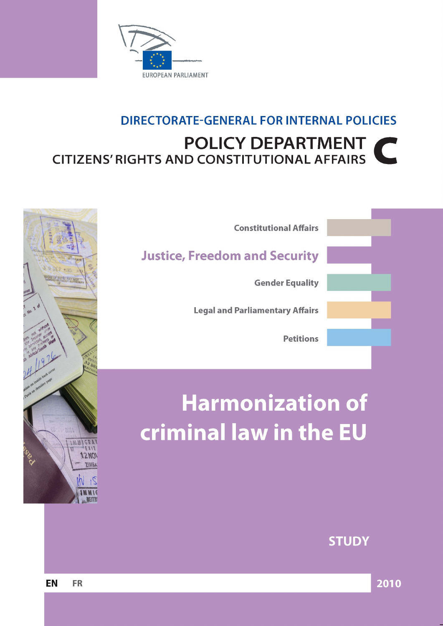

# **DIRECTORATE-GENERAL FOR INTERNAL POLICIES POLICY DEPARTMENT**  $\blacksquare$ **CITIZENS' RIGHTS AND CONSTITUTIONAL AFFAIRS**



# **Harmonization of** criminal law in the EU



**STUDY** 

EN **FR**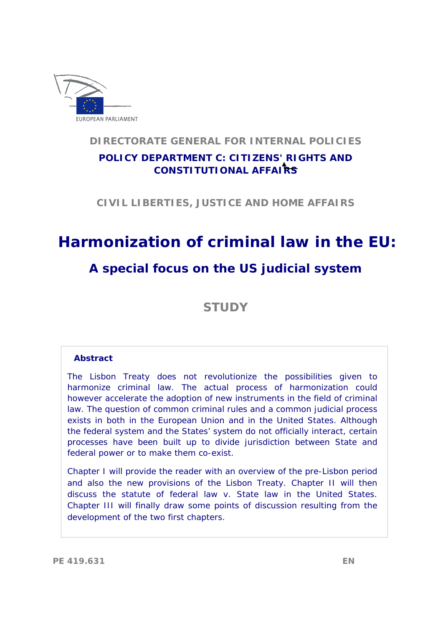

# **DIRECTORATE GENERAL FOR INTERNAL POLICIES**

# **POLICY DEPARTMENT C: CITIZENS' RIGHTS AND CONSTITUTIONAL AFFAIRS**

**CIVIL LIBERTIES, JUSTICE AND HOME AFFAIRS** 

# **Harmonization of criminal law in the EU:**

# **A special focus on the US judicial system**

**STUDY** 

#### **Abstract**

The Lisbon Treaty does not revolutionize the possibilities given to harmonize criminal law. The actual process of harmonization could however accelerate the adoption of new instruments in the field of criminal law. The question of common criminal rules and a common judicial process exists in both in the European Union and in the United States. Although the federal system and the States' system do not officially interact, certain processes have been built up to divide jurisdiction between State and federal power or to make them co-exist.

Chapter I will provide the reader with an overview of the pre-Lisbon period and also the new provisions of the Lisbon Treaty. Chapter II will then discuss the statute of federal law v. State law in the United States. Chapter III will finally draw some points of discussion resulting from the development of the two first chapters.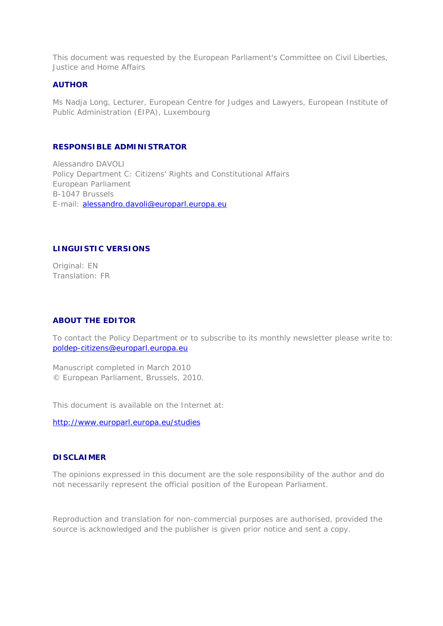This document was requested by the European Parliament's Committee on Civil Liberties, Justice and Home Affairs

#### **AUTHOR**

Ms Nadja Long, Lecturer, European Centre for Judges and Lawyers, European Institute of Public Administration (EIPA), Luxembourg

#### **RESPONSIBLE ADMINISTRATOR**

Alessandro DAVOLI Policy Department C: Citizens' Rights and Constitutional Affairs European Parliament B-1047 Brussels E-mail: alessandro.davoli@europarl.europa.eu

#### **LINGUISTIC VERSIONS**

Original: EN Translation: FR

#### **ABOUT THE EDITOR**

To contact the Policy Department or to subscribe to its monthly newsletter please write to: poldep-citizens@europarl.europa.eu

Manuscript completed in March 2010 © European Parliament, Brussels, 2010.

This document is available on the Internet at:

http://www.europarl.europa.eu/studies

#### **DISCLAIMER**

The opinions expressed in this document are the sole responsibility of the author and do not necessarily represent the official position of the European Parliament.

Reproduction and translation for non-commercial purposes are authorised, provided the source is acknowledged and the publisher is given prior notice and sent a copy.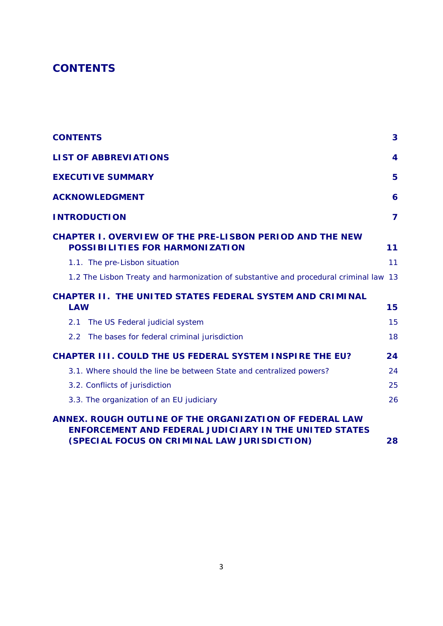# **CONTENTS**

| <b>CONTENTS</b>                                                                                                                                                          | 3  |
|--------------------------------------------------------------------------------------------------------------------------------------------------------------------------|----|
| <b>LIST OF ABBREVIATIONS</b>                                                                                                                                             | 4  |
| <b>EXECUTIVE SUMMARY</b>                                                                                                                                                 | 5  |
| <b>ACKNOWLEDGMENT</b>                                                                                                                                                    | 6  |
| <b>INTRODUCTION</b>                                                                                                                                                      | 7  |
| <b>CHAPTER I. OVERVIEW OF THE PRE-LISBON PERIOD AND THE NEW</b><br><b>POSSIBILITIES FOR HARMONIZATION</b>                                                                | 11 |
| 1.1. The pre-Lisbon situation                                                                                                                                            | 11 |
| 1.2 The Lisbon Treaty and harmonization of substantive and procedural criminal law 13                                                                                    |    |
| <b>CHAPTER II. THE UNITED STATES FEDERAL SYSTEM AND CRIMINAL</b>                                                                                                         |    |
| <b>LAW</b>                                                                                                                                                               | 15 |
| The US Federal judicial system<br>2.1                                                                                                                                    | 15 |
| The bases for federal criminal jurisdiction<br>$2.2^{\circ}$                                                                                                             | 18 |
| <b>CHAPTER III. COULD THE US FEDERAL SYSTEM INSPIRE THE EU?</b>                                                                                                          | 24 |
| 3.1. Where should the line be between State and centralized powers?                                                                                                      | 24 |
| 3.2. Conflicts of jurisdiction                                                                                                                                           | 25 |
| 3.3. The organization of an EU judiciary                                                                                                                                 | 26 |
| ANNEX. ROUGH OUTLINE OF THE ORGANIZATION OF FEDERAL LAW<br><b>ENFORCEMENT AND FEDERAL JUDICIARY IN THE UNITED STATES</b><br>(SPECIAL FOCUS ON CRIMINAL LAW JURISDICTION) | 28 |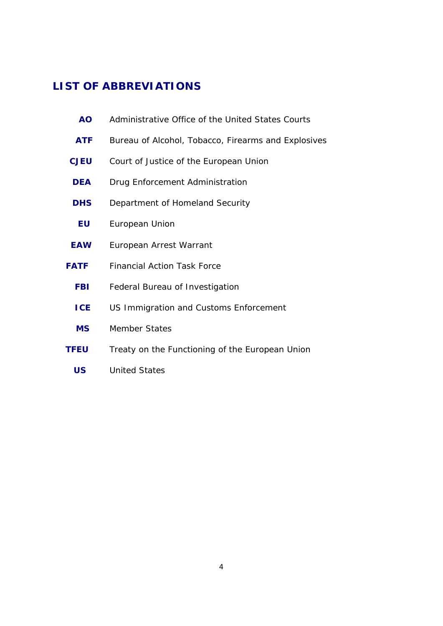# **LIST OF ABBREVIATIONS**

| <b>AO</b>   | Administrative Office of the United States Courts   |
|-------------|-----------------------------------------------------|
| <b>ATF</b>  | Bureau of Alcohol, Tobacco, Firearms and Explosives |
| <b>CJEU</b> | Court of Justice of the European Union              |
| <b>DEA</b>  | Drug Enforcement Administration                     |
| <b>DHS</b>  | Department of Homeland Security                     |
| <b>EU</b>   | European Union                                      |
| <b>EAW</b>  | European Arrest Warrant                             |
| <b>FATF</b> | <b>Financial Action Task Force</b>                  |
| <b>FBI</b>  | Federal Bureau of Investigation                     |
| <b>ICE</b>  | US Immigration and Customs Enforcement              |
| <b>MS</b>   | <b>Member States</b>                                |
| <b>TFEU</b> | Treaty on the Functioning of the European Union     |
| <b>US</b>   | <b>United States</b>                                |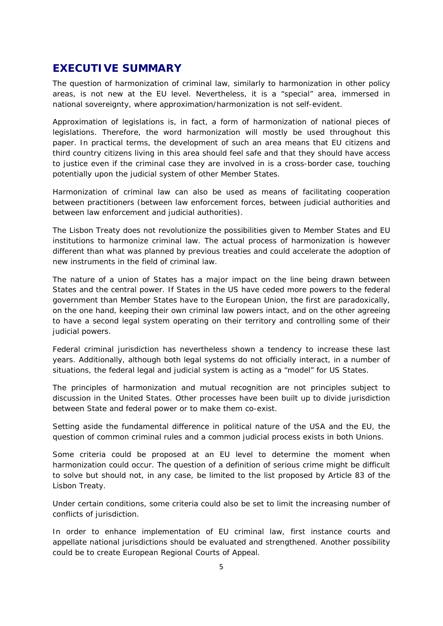### **EXECUTIVE SUMMARY**

The question of harmonization of criminal law, similarly to harmonization in other policy areas, is not new at the EU level. Nevertheless, it is a "special" area, immersed in national sovereignty, where approximation/harmonization is not self-evident.

Approximation of legislations is, in fact, a form of harmonization of national pieces of legislations. Therefore, the word harmonization will mostly be used throughout this paper. In practical terms, the development of such an area means that EU citizens and third country citizens living in this area should feel safe and that they should have access to justice even if the criminal case they are involved in is a cross-border case, touching potentially upon the judicial system of other Member States.

Harmonization of criminal law can also be used as means of facilitating cooperation between practitioners (between law enforcement forces, between judicial authorities and between law enforcement and judicial authorities).

The Lisbon Treaty does not revolutionize the possibilities given to Member States and EU institutions to harmonize criminal law. The actual process of harmonization is however different than what was planned by previous treaties and could accelerate the adoption of new instruments in the field of criminal law.

The nature of a union of States has a major impact on the line being drawn between States and the central power. If States in the US have ceded more powers to the federal government than Member States have to the European Union, the first are paradoxically, on the one hand, keeping their own criminal law powers intact, and on the other agreeing to have a second legal system operating on their territory and controlling some of their judicial powers.

Federal criminal jurisdiction has nevertheless shown a tendency to increase these last years. Additionally, although both legal systems do not officially interact, in a number of situations, the federal legal and judicial system is acting as a "model" for US States.

The principles of harmonization and mutual recognition are not principles subject to discussion in the United States. Other processes have been built up to divide jurisdiction between State and federal power or to make them co-exist.

Setting aside the fundamental difference in political nature of the USA and the EU, the question of common criminal rules and a common judicial process exists in both Unions.

Some criteria could be proposed at an EU level to determine the moment when harmonization could occur. The question of a definition of *serious crime* might be difficult to solve but should not, in any case, be limited to the list proposed by Article 83 of the Lisbon Treaty.

Under certain conditions, some criteria could also be set to limit the increasing number of conflicts of jurisdiction.

In order to enhance implementation of EU criminal law, first instance courts and appellate national jurisdictions should be evaluated and strengthened. Another possibility could be to create European Regional Courts of Appeal.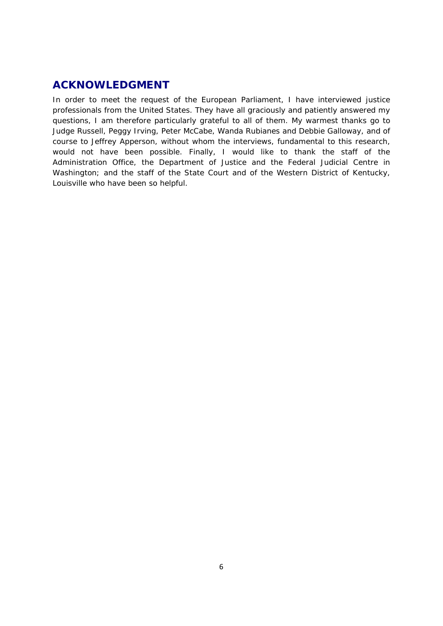## **ACKNOWLEDGMENT**

In order to meet the request of the European Parliament, I have interviewed justice professionals from the United States. They have all graciously and patiently answered my questions, I am therefore particularly grateful to all of them. My warmest thanks go to Judge Russell, Peggy Irving, Peter McCabe, Wanda Rubianes and Debbie Galloway, and of course to Jeffrey Apperson, without whom the interviews, fundamental to this research, would not have been possible. Finally, I would like to thank the staff of the Administration Office, the Department of Justice and the Federal Judicial Centre in Washington; and the staff of the State Court and of the Western District of Kentucky, Louisville who have been so helpful.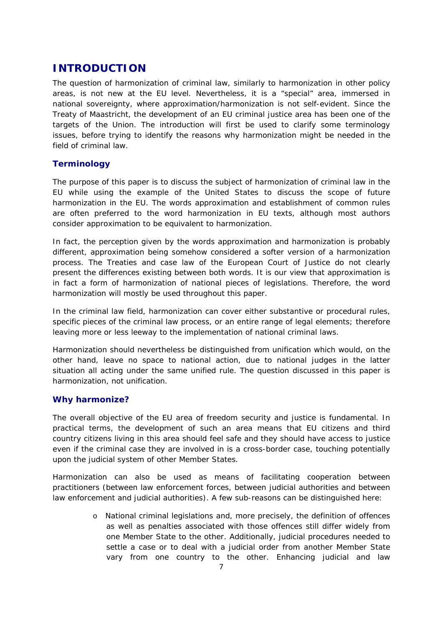## **INTRODUCTION**

The question of harmonization of criminal law, similarly to harmonization in other policy areas, is not new at the EU level. Nevertheless, it is a "special" area, immersed in national sovereignty, where approximation/harmonization is not self-evident. Since the Treaty of Maastricht, the development of an EU criminal justice area has been one of the targets of the Union. The introduction will first be used to clarify some terminology issues, before trying to identify the reasons why harmonization might be needed in the field of criminal law.

#### **Terminology**

The purpose of this paper is to discuss the subject of *harmonization* of criminal law in the EU while using the example of the United States to discuss the scope of future harmonization in the EU. The words *approximation* and establishment of *common rules* are often preferred to the word *harmonization* in EU texts, although most authors consider *approximation* to be equivalent to *harmonization*.

In fact, the *perception* given by the words *approximation* and *harmonization* is probably different, approximation being somehow considered a softer version of a harmonization process. The Treaties and case law of the European Court of Justice do not clearly present the differences existing between both words. It is our view that approximation is in fact a form of harmonization of national pieces of legislations. Therefore, the word harmonization will mostly be used throughout this paper.

In the criminal law field, harmonization can cover either substantive or procedural rules, specific pieces of the criminal law process, or an entire range of legal elements; therefore leaving more or less leeway to the implementation of national criminal laws.

Harmonization should nevertheless be distinguished from *unification* which would, on the other hand, leave no space to national action, due to national judges in the latter situation all acting under the same unified rule. The question discussed in this paper is harmonization, not unification.

#### **Why harmonize?**

The overall objective of the EU area of freedom security and justice is fundamental. In practical terms, the development of such an area means that EU citizens and third country citizens living in this area should feel safe and they should have access to justice even if the criminal case they are involved in is a cross-border case, touching potentially upon the judicial system of other Member States.

Harmonization can also be used as means of facilitating cooperation between practitioners (between law enforcement forces, between judicial authorities and between law enforcement and judicial authorities). A few sub-reasons can be distinguished here:

> o National criminal legislations and, more precisely, the definition of offences as well as penalties associated with those offences still differ widely from one Member State to the other. Additionally, judicial procedures needed to settle a case or to deal with a judicial order from another Member State vary from one country to the other. Enhancing judicial and law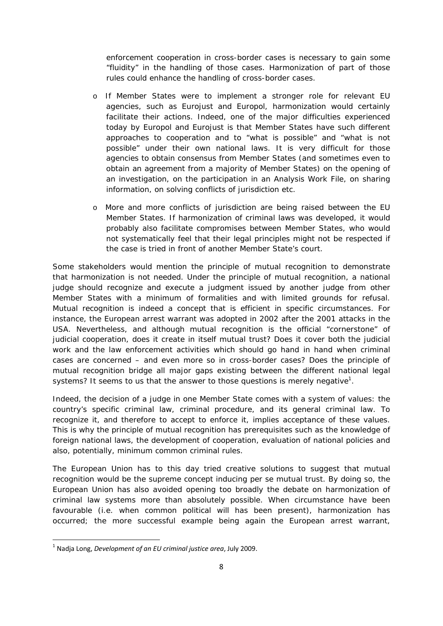enforcement cooperation in cross-border cases is necessary to gain some "fluidity" in the handling of those cases. Harmonization of part of those rules could enhance the handling of cross-border cases.

- o If Member States were to implement a stronger role for relevant EU agencies, such as Eurojust and Europol, harmonization would certainly facilitate their actions. Indeed, one of the major difficulties experienced today by Europol and Eurojust is that Member States have such different approaches to cooperation and to "what is possible" and "what is not possible" under their own national laws. It is very difficult for those agencies to obtain consensus from Member States (and sometimes even to obtain an agreement from a majority of Member States) on the opening of an investigation, on the participation in an Analysis Work File, on sharing information, on solving conflicts of jurisdiction etc.
- o More and more conflicts of jurisdiction are being raised between the EU Member States. If harmonization of criminal laws was developed, it would probably also facilitate compromises between Member States, who would not systematically feel that their legal principles might not be respected if the case is tried in front of another Member State's court.

Some stakeholders would mention the principle of mutual recognition to demonstrate that harmonization is not needed. Under the principle of mutual recognition, a national judge should recognize and execute a judgment issued by another judge from other Member States with a minimum of formalities and with limited grounds for refusal. Mutual recognition is indeed a concept that is efficient in specific circumstances. For instance, the European arrest warrant was adopted in 2002 after the 2001 attacks in the USA. Nevertheless, and although mutual recognition is the official "cornerstone" of judicial cooperation, does it create in itself mutual trust? Does it cover both the judicial work and the law enforcement activities which should go hand in hand when criminal cases are concerned – and even more so in cross-border cases? Does the principle of mutual recognition bridge all major gaps existing between the different national legal systems? It seems to us that the answer to those questions is merely negative<sup>1</sup>.

Indeed, the decision of a judge in one Member State comes with a system of values: the country's specific criminal law, criminal procedure, and its general criminal law. To recognize it, and therefore to accept to enforce it, implies acceptance of these values. This is why the principle of mutual recognition has prerequisites such as the knowledge of foreign national laws, the development of cooperation, evaluation of national policies and also, potentially, minimum common criminal rules.

The European Union has to this day tried creative solutions to suggest that mutual recognition would be the supreme concept inducing *per se* mutual trust. By doing so, the European Union has also avoided opening too broadly the debate on harmonization of criminal law systems more than absolutely possible. When circumstance have been favourable (i.e. when common political will has been present), harmonization has occurred; the more successful example being again the European arrest warrant,

<sup>1</sup> Nadja Long, *Development of an EU criminal justice area*, July 2009.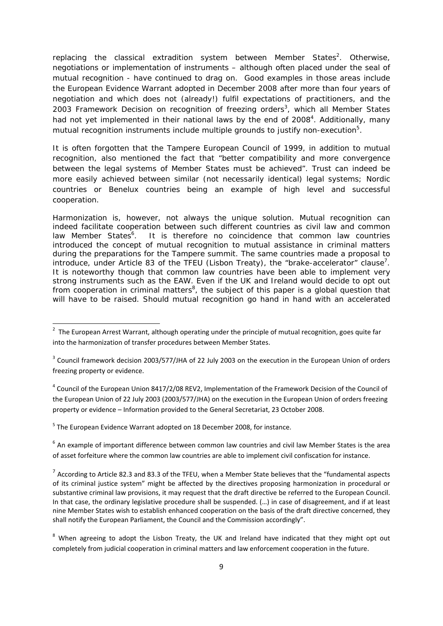replacing the classical extradition system between Member States<sup>2</sup>. Otherwise, negotiations or implementation of instruments – although often placed under the seal of mutual recognition - have continued to drag on. Good examples in those areas include the European Evidence Warrant adopted in December 2008 after more than four years of negotiation and which does not (already!) fulfil expectations of practitioners, and the 2003 Framework Decision on recognition of freezing orders<sup>3</sup>, which all Member States had not yet implemented in their national laws by the end of 2008<sup>4</sup>. Additionally, many mutual recognition instruments include multiple grounds to justify non-execution<sup>5</sup>.

It is often forgotten that the Tampere European Council of 1999, in addition to mutual recognition, also mentioned the fact that "better compatibility and more convergence between the legal systems of Member States must be achieved". Trust can indeed be more easily achieved between similar (not necessarily identical) legal systems; Nordic countries or Benelux countries being an example of high level and successful cooperation.

Harmonization is, however, not always the unique solution. Mutual recognition can indeed facilitate cooperation between such different countries as civil law and common law Member States<sup>6</sup>. . It is therefore no coincidence that common law countries introduced the concept of mutual recognition to mutual assistance in criminal matters during the preparations for the Tampere summit. The same countries made a proposal to introduce, under Article 83 of the TFEU (Lisbon Treaty), the "brake-accelerator" clause<sup>7</sup>. It is noteworthy though that common law countries have been able to implement very strong instruments such as the EAW. Even if the UK and Ireland would decide to opt out from cooperation in criminal matters<sup>8</sup>, the subject of this paper is a global question that will have to be raised. Should mutual recognition go hand in hand with an accelerated

 $4$  Council of the European Union 8417/2/08 REV2, Implementation of the Framework Decision of the Council of the European Union of 22 July 2003 (2003/577/JHA) on the execution in the European Union of orders freezing property or evidence – Information provided to the General Secretariat, 23 October 2008.

<sup>5</sup> The European Evidence Warrant adopted on 18 December 2008, for instance.

 $6$  An example of important difference between common law countries and civil law Member States is the area of asset forfeiture where the common law countries are able to implement civil confiscation for instance.

 $2$  The European Arrest Warrant, although operating under the principle of mutual recognition, goes quite far into the harmonization of transfer procedures between Member States.

<sup>&</sup>lt;sup>3</sup> Council framework decision 2003/577/JHA of 22 July 2003 on the execution in the European Union of orders freezing property or evidence.

 $7$  According to Article 82.3 and 83.3 of the TFEU, when a Member State believes that the "fundamental aspects of its criminal justice system" might be affected by the directives proposing harmonization in procedural or substantive criminal law provisions, it may request that the draft directive be referred to the European Council. In that case, the ordinary legislative procedure shall be suspended. (…) in case of disagreement, and if at least nine Member States wish to establish enhanced cooperation on the basis of the draft directive concerned, they shall notify the European Parliament, the Council and the Commission accordingly".

<sup>&</sup>lt;sup>8</sup> When agreeing to adopt the Lisbon Treaty, the UK and Ireland have indicated that they might opt out completely from judicial cooperation in criminal matters and law enforcement cooperation in the future.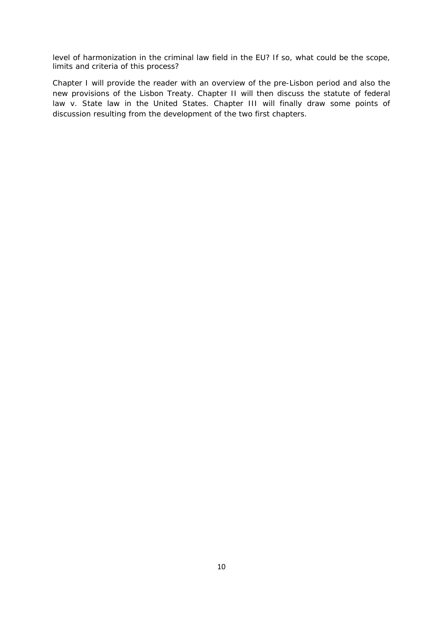level of harmonization in the criminal law field in the EU? If so, what could be the scope, limits and criteria of this process?

Chapter I will provide the reader with an overview of the pre-Lisbon period and also the new provisions of the Lisbon Treaty. Chapter II will then discuss the statute of federal law v. State law in the United States. Chapter III will finally draw some points of discussion resulting from the development of the two first chapters.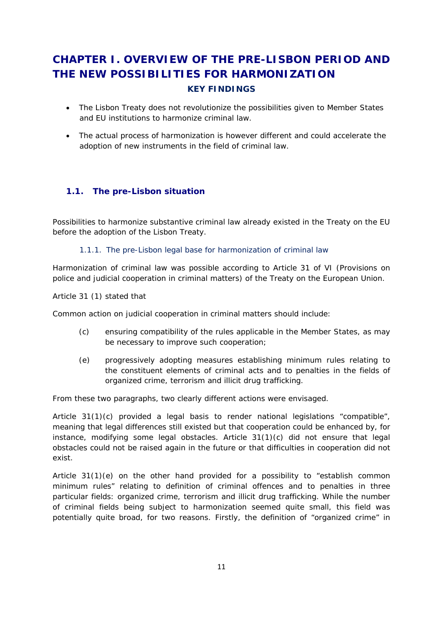# **CHAPTER I. OVERVIEW OF THE PRE-LISBON PERIOD AND THE NEW POSSIBILITIES FOR HARMONIZATION KEY FINDINGS**

- The Lisbon Treaty does not revolutionize the possibilities given to Member States and EU institutions to harmonize criminal law.
- The actual process of harmonization is however different and could accelerate the adoption of new instruments in the field of criminal law.

#### **1.1. The pre-Lisbon situation**

Possibilities to harmonize substantive criminal law already existed in the Treaty on the EU before the adoption of the Lisbon Treaty.

1.1.1. The pre-Lisbon legal base for harmonization of criminal law

Harmonization of criminal law was possible according to Article 31 of VI (Provisions on police and judicial cooperation in criminal matters) of the Treaty on the European Union.

Article 31 (1) stated that

*Common action on judicial cooperation in criminal matters should include:* 

- *(c) ensuring compatibility of the rules applicable in the Member States, as may be necessary to improve such cooperation;*
- *(e) progressively adopting measures establishing minimum rules relating to the constituent elements of criminal acts and to penalties in the fields of organized crime, terrorism and illicit drug trafficking*.

From these two paragraphs, two clearly different actions were envisaged.

Article 31(1)(c) provided a legal basis to render national legislations "compatible", meaning that legal differences still existed but that cooperation could be enhanced by, for instance, modifying some legal obstacles. Article 31(1)(c) did not ensure that legal obstacles could not be raised again in the future or that difficulties in cooperation did not exist.

Article 31(1)(e) on the other hand provided for a possibility to "establish common minimum rules" relating to definition of criminal offences and to penalties in three particular fields: organized crime, terrorism and illicit drug trafficking. While the number of criminal fields being subject to harmonization seemed quite small, this field was potentially quite broad, for two reasons. Firstly, the definition of "organized crime" in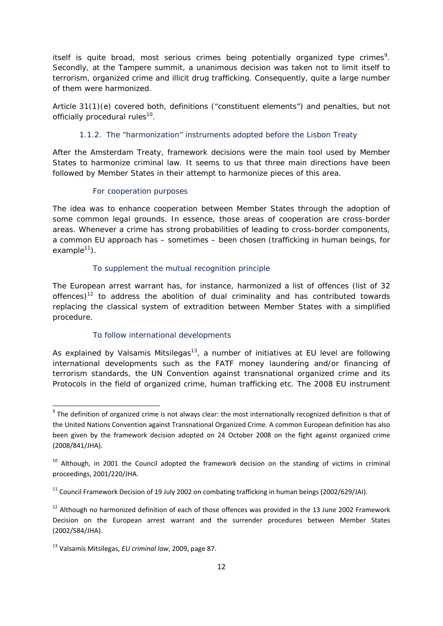itself is quite broad, most *serious crimes* being potentially organized type crimes<sup>9</sup>. Secondly, at the Tampere summit, a unanimous decision was taken not to limit itself to terrorism, organized crime and illicit drug trafficking. Consequently, quite a large number of them were harmonized.

Article 31(1)(e) covered both, definitions ("constituent elements") and penalties, but not officially procedural rules<sup>10</sup>.

#### 1.1.2. The "harmonization" instruments adopted before the Lisbon Treaty

After the Amsterdam Treaty, framework decisions were the main tool used by Member States to harmonize criminal law. It seems to us that three main directions have been followed by Member States in their attempt to harmonize pieces of this area.

#### For cooperation purposes

The idea was to enhance cooperation between Member States through the adoption of some common legal grounds. In essence, those areas of cooperation are cross-border areas. Whenever a crime has strong probabilities of leading to cross-border components, a common EU approach has – sometimes – been chosen (trafficking in human beings, for example $11$ ).

#### To supplement the mutual recognition principle

The European arrest warrant has, for instance, harmonized a list of offences (list of 32 offences)<sup>12</sup> to address the abolition of dual criminality and has contributed towards replacing the classical system of extradition between Member States with a simplified procedure.

#### To follow international developments

As explained by Valsamis Mitsilegas<sup>13</sup>, a number of initiatives at EU level are following international developments such as the FATF money laundering and/or financing of terrorism standards, the UN Convention against transnational organized crime and its Protocols in the field of organized crime, human trafficking etc. The 2008 EU instrument

<sup>&</sup>lt;sup>9</sup> The definition of organized crime is not always clear: the most internationally recognized definition is that of the United Nations Convention against Transnational Organized Crime. A common European definition has also been given by the framework decision adopted on 24 October 2008 on the fight against organized crime (2008/841/JHA).

<sup>&</sup>lt;sup>10</sup> Although, in 2001 the Council adopted the framework decision on the standing of victims in criminal proceedings, 2001/220/JHA.

 $11$  Council Framework Decision of 19 July 2002 on combating trafficking in human beings (2002/629/JAI).

 $12$  Although no harmonized definition of each of those offences was provided in the 13 June 2002 Framework Decision on the European arrest warrant and the surrender procedures between Member States (2002/584/JHA).

<sup>13</sup> Valsamis Mitsilegas, *EU criminal law*, 2009, page 87.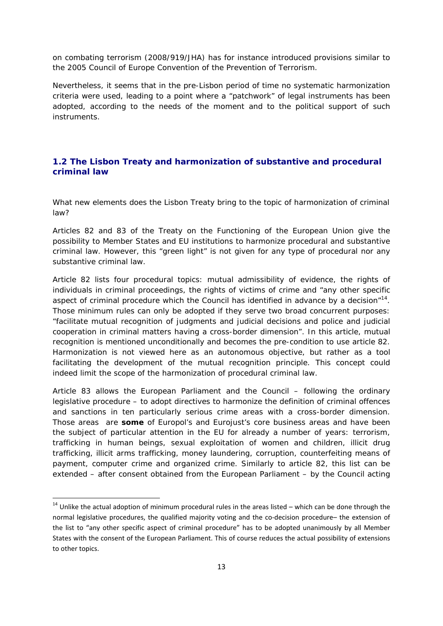on combating terrorism (2008/919/JHA) has for instance introduced provisions similar to the 2005 Council of Europe Convention of the Prevention of Terrorism.

Nevertheless, it seems that in the pre-Lisbon period of time no systematic harmonization criteria were used, leading to a point where a "patchwork" of legal instruments has been adopted, according to the needs of the moment and to the political support of such instruments.

#### **1.2 The Lisbon Treaty and harmonization of substantive and procedural criminal law**

What new elements does the Lisbon Treaty bring to the topic of harmonization of criminal law?

Articles 82 and 83 of the Treaty on the Functioning of the European Union give the possibility to Member States and EU institutions to harmonize procedural and substantive criminal law. However, this "green light" is not given for any type of procedural nor any substantive criminal law.

Article 82 lists four procedural topics: mutual admissibility of evidence, the rights of individuals in criminal proceedings, the rights of victims of crime and "any other specific aspect of criminal procedure which the Council has identified in advance by a decision $n^{14}$ . Those minimum rules can only be adopted if they serve two broad concurrent purposes: "facilitate mutual recognition of judgments and judicial decisions and police and judicial cooperation in criminal matters having a cross-border dimension". In this article, mutual recognition is mentioned unconditionally and becomes the pre-condition to use article 82. Harmonization is not viewed here as an autonomous objective, but rather as a tool facilitating the development of the mutual recognition principle. This concept could indeed limit the scope of the harmonization of procedural criminal law.

Article 83 allows the European Parliament and the Council – following the ordinary legislative procedure – to adopt directives to harmonize the definition of criminal offences and sanctions in ten *particularly* serious crime areas with a cross-border dimension. Those areas are *some* of Europol's and Eurojust's core business areas and have been the subject of particular attention in the EU for already a number of years: terrorism, trafficking in human beings, sexual exploitation of women and children, illicit drug trafficking, illicit arms trafficking, money laundering, corruption, counterfeiting means of payment, computer crime and organized crime. Similarly to article 82, this list can be extended – after consent obtained from the European Parliament – by the Council acting

 $14$  Unlike the actual adoption of minimum procedural rules in the areas listed – which can be done through the normal legislative procedures, the qualified majority voting and the co-decision procedure– the extension of the list to "any other specific aspect of criminal procedure" has to be adopted unanimously by all Member States with the consent of the European Parliament. This of course reduces the actual possibility of extensions to other topics.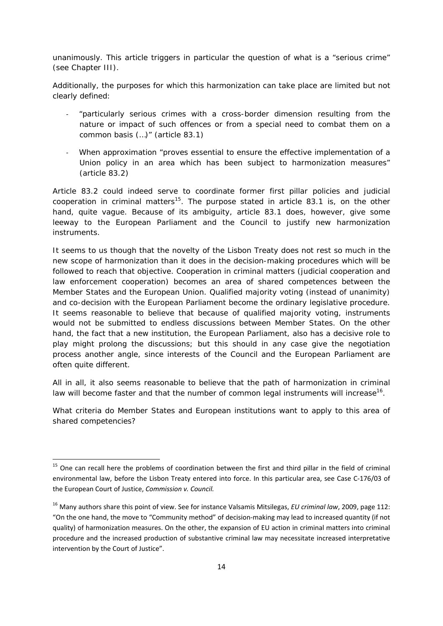unanimously. This article triggers in particular the question of what is a "serious crime" (see Chapter III).

Additionally, the purposes for which this harmonization can take place are limited but not clearly defined:

- ‐ "*particularly serious crimes with a cross-border dimension resulting from the nature or impact of such offences or from a special need to combat them on a common basis (…)"* (article 83.1)
- ‐ When approximation "*proves essential to ensure the effective implementation of a Union policy in an area which has been subject to harmonization measures*" (article 83.2)

Article 83.2 could indeed serve to coordinate former first pillar policies and judicial cooperation in criminal matters<sup>15</sup>. The purpose stated in article 83.1 is, on the other hand, quite vague. Because of its ambiguity, article 83.1 does, however, give some leeway to the European Parliament and the Council to justify new harmonization instruments.

It seems to us though that the novelty of the Lisbon Treaty does not rest so much in the new scope of harmonization than it does in the decision-making procedures which will be followed to reach that objective. Cooperation in criminal matters (judicial cooperation and law enforcement cooperation) becomes an area of shared competences between the Member States and the European Union. Qualified majority voting (instead of unanimity) and co-decision with the European Parliament become the ordinary legislative procedure. It seems reasonable to believe that because of qualified majority voting, instruments would not be submitted to endless discussions between Member States. On the other hand, the fact that a new institution, the European Parliament, also has a decisive role to play might prolong the discussions; but this should in any case give the negotiation process another angle, since interests of the Council and the European Parliament are often quite different.

All in all, it also seems reasonable to believe that the path of harmonization in criminal law will become faster and that the number of common legal instruments will increase<sup>16</sup>.

What criteria do Member States and European institutions want to apply to this area of shared competencies?

 $15$  One can recall here the problems of coordination between the first and third pillar in the field of criminal environmental law, before the Lisbon Treaty entered into force. In this particular area, see Case C‐176/03 of the European Court of Justice, *Commission v. Council.*

<sup>16</sup> Many authors share this point of view. See for instance Valsamis Mitsilegas, *EU criminal law*, 2009, page 112: "On the one hand, the move to "Community method" of decision‐making may lead to increased quantity (if not quality) of harmonization measures. On the other, the expansion of EU action in criminal matters into criminal procedure and the increased production of substantive criminal law may necessitate increased interpretative intervention by the Court of Justice".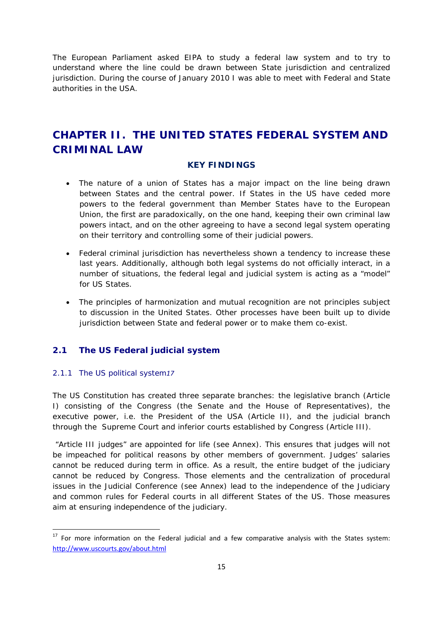The European Parliament asked EIPA to study a federal law system and to try to understand where the line could be drawn between State jurisdiction and centralized jurisdiction. During the course of January 2010 I was able to meet with Federal and State authorities in the USA.

# **CHAPTER II. THE UNITED STATES FEDERAL SYSTEM AND CRIMINAL LAW**

#### **KEY FINDINGS**

- The nature of a union of States has a major impact on the line being drawn between States and the central power. If States in the US have ceded more powers to the federal government than Member States have to the European Union, the first are paradoxically, on the one hand, keeping their own criminal law powers intact, and on the other agreeing to have a second legal system operating on their territory and controlling some of their judicial powers.
- Federal criminal jurisdiction has nevertheless shown a tendency to increase these last years. Additionally, although both legal systems do not officially interact, in a number of situations, the federal legal and judicial system is acting as a "model" for US States.
- The principles of harmonization and mutual recognition are not principles subject to discussion in the United States. Other processes have been built up to divide jurisdiction between State and federal power or to make them co-exist.

#### **2.1 The US Federal judicial system**

#### 2.1.1 The US political system*17*

The US Constitution has created three separate branches: the legislative branch (Article I) consisting of the Congress (the Senate and the House of Representatives), the executive power, i.e. the President of the USA (Article II), and the judicial branch through the Supreme Court and inferior courts established by Congress (Article III).

 "Article III judges" are appointed for life (see Annex). This ensures that judges will not be impeached for political reasons by other members of government. Judges' salaries cannot be reduced during term in office. As a result, the entire budget of the judiciary cannot be reduced by Congress. Those elements and the centralization of procedural issues in the Judicial Conference (see Annex) lead to the independence of the Judiciary and common rules for Federal courts in all different States of the US. Those measures aim at ensuring independence of the judiciary.

 $17$  For more information on the Federal judicial and a few comparative analysis with the States system: http://www.uscourts.gov/about.html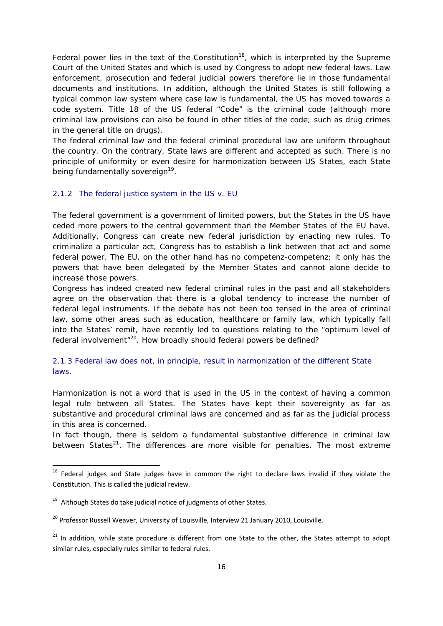Federal power lies in the text of the Constitution<sup>18</sup>, which is interpreted by the Supreme Court of the United States and which is used by Congress to adopt new federal laws. Law enforcement, prosecution and federal judicial powers therefore lie in those fundamental documents and institutions. In addition, although the United States is still following a typical common law system where case law is fundamental, the US has moved towards a code system. Title 18 of the US federal "Code" is the criminal code (although more criminal law provisions can also be found in other titles of the code; such as drug crimes in the general title on drugs).

The federal criminal law and the federal criminal procedural law are uniform throughout the country. On the contrary, State laws are different and accepted as such. There is no principle of uniformity or even desire for harmonization between US States, each State being fundamentally sovereign<sup>19</sup>.

#### 2.1.2 The federal justice system in the US v. EU

The federal government is a government of limited powers, but the States in the US have ceded more powers to the central government than the Member States of the EU have. Additionally, Congress can create new federal jurisdiction by enacting new rules. To criminalize a particular act, Congress has to establish a link between that act and some federal power. The EU, on the other hand has no *competenz-competenz*; it only has the powers that have been delegated by the Member States and cannot alone decide to increase those powers.

Congress has indeed created new federal criminal rules in the past and all stakeholders agree on the observation that there is a global tendency to increase the number of federal legal instruments. If the debate has not been too tensed in the area of criminal law, some other areas such as education, healthcare or family law, which typically fall into the States' remit, have recently led to questions relating to the "optimum level of federal involvement<sup>"20</sup>. How broadly should federal powers be defined?

#### 2.1.3 Federal law does not, in principle, result in harmonization of the different State laws.

*Harmonization* is not a word that is used in the US in the context of having a common legal rule between all States. The States have kept their sovereignty as far as substantive and procedural criminal laws are concerned and as far as the judicial process in this area is concerned.

In fact though, there is seldom a fundamental substantive difference in criminal law between States<sup>21</sup>. The differences are more visible for penalties. The most extreme

<sup>&</sup>lt;sup>18</sup> Federal judges and State judges have in common the right to declare laws invalid if they violate the Constitution. This is called the judicial review.

 $19$  Although States do take judicial notice of judgments of other States.

<sup>&</sup>lt;sup>20</sup> Professor Russell Weaver, University of Louisville, Interview 21 January 2010, Louisville.

<sup>&</sup>lt;sup>21</sup> In addition, while state procedure is different from one State to the other, the States attempt to adopt similar rules, especially rules similar to federal rules.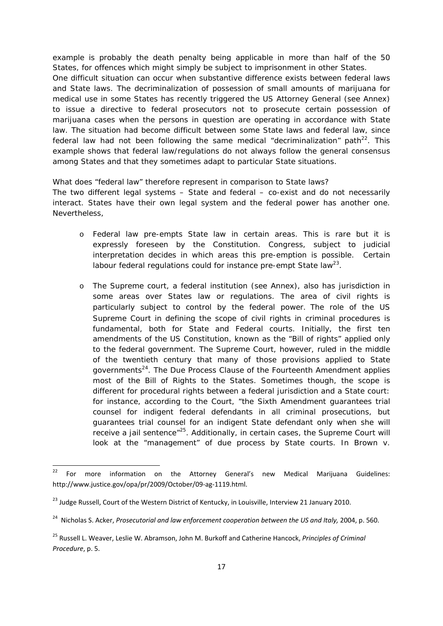example is probably the death penalty being applicable in more than half of the 50 States, for offences which might simply be subject to imprisonment in other States. One difficult situation can occur when substantive difference exists between federal laws and State laws. The decriminalization of possession of small amounts of marijuana for medical use in some States has recently triggered the US Attorney General (see Annex) to issue a directive to federal prosecutors not to prosecute certain possession of marijuana cases when the persons in question are operating in accordance with State law. The situation had become difficult between some State laws and federal law, since federal law had not been following the same medical "decriminalization" path<sup>22</sup>. This example shows that federal law/regulations do not always follow the general consensus among States and that they sometimes adapt to particular State situations.

What does "federal law" therefore represent in comparison to State laws? The two different legal systems – State and federal – co-exist and do not necessarily interact. States have their own legal system and the federal power has another one. Nevertheless,

- o Federal law pre-empts State law in certain areas. This is rare but it is expressly foreseen by the Constitution. Congress, subject to judicial interpretation decides in which areas this pre-emption is possible. Certain labour federal regulations could for instance pre-empt State law<sup>23</sup>.
- o The Supreme court, a federal institution (see Annex), also has jurisdiction in some areas over States law or regulations. The area of civil rights is particularly subject to control by the federal power. The role of the US Supreme Court in defining the scope of civil rights in criminal procedures is fundamental, both for State and Federal courts. Initially, the first ten amendments of the US Constitution, known as the "Bill of rights" applied only to the federal government. The Supreme Court, however, ruled in the middle of the twentieth century that many of those provisions applied to State governments<sup>24</sup>. The Due Process Clause of the Fourteenth Amendment applies most of the Bill of Rights to the States. Sometimes though, the scope is different for procedural rights between a federal jurisdiction and a State court: for instance, according to the Court, "the Sixth Amendment guarantees trial counsel for indigent federal defendants in all criminal prosecutions, but guarantees trial counsel for an indigent State defendant only when she will receive a jail sentence"<sup>25</sup>. Additionally, in certain cases, the Supreme Court will look at the "management" of due process by State courts. In *Brown v.*

<sup>&</sup>lt;sup>22</sup> For more information on the Attorney General's new Medical Marijuana Guidelines: http://www.justice.gov/opa/pr/2009/October/09‐ag‐1119.html.

<sup>&</sup>lt;sup>23</sup> Judge Russell, Court of the Western District of Kentucky, in Louisville, Interview 21 January 2010.

<sup>24</sup> Nicholas S. Acker, *Prosecutorial and law enforcement cooperation between the US and Italy,* 2004, p. 560.

<sup>25</sup> Russell L. Weaver, Leslie W. Abramson, John M. Burkoff and Catherine Hancock, *Principles of Criminal Procedure*, p. 5.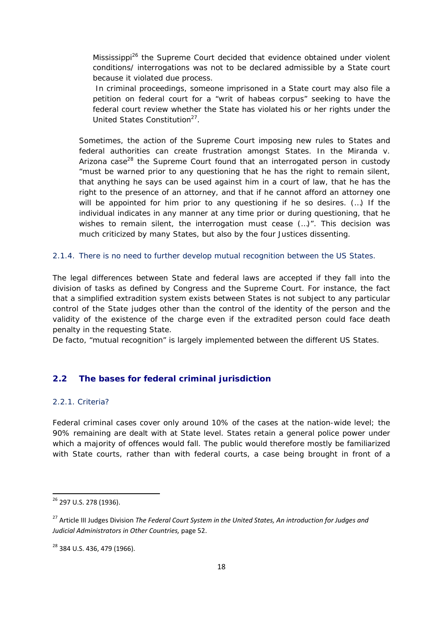*Mississippi*<sup>26</sup> the Supreme Court decided that evidence obtained under violent conditions/ interrogations was not to be declared admissible by a State court because it violated due process.

In criminal proceedings, someone imprisoned in a State court may also file a petition on federal court for a "writ of habeas corpus" seeking to have the federal court review whether the State has violated his or her rights under the United States Constitution<sup>27</sup>.

Sometimes, the action of the Supreme Court imposing new rules to States and federal authorities can create frustration amongst States. In the *Miranda v.*  Arizona case<sup>28</sup> the Supreme Court found that an interrogated person in custody "must be warned prior to any questioning that he has the right to remain silent, that anything he says can be used against him in a court of law, that he has the right to the presence of an attorney, and that if he cannot afford an attorney one will be appointed for him prior to any questioning if he so desires. (…) If the individual indicates in any manner at any time prior or during questioning, that he wishes to remain silent, the interrogation must cease (...)". This decision was much criticized by many States, but also by the four Justices dissenting.

#### 2.1.4. There is no need to further develop mutual recognition between the US States.

The legal differences between State and federal laws are accepted if they fall into the division of tasks as defined by Congress and the Supreme Court. For instance, the fact that a simplified extradition system exists between States is not subject to any particular control of the State judges other than the control of the identity of the person and the validity of the existence of the charge even if the extradited person could face death penalty in the requesting State.

De facto, "mutual recognition" is largely implemented between the different US States.

#### **2.2 The bases for federal criminal jurisdiction**

#### 2.2.1. Criteria?

Federal criminal cases cover only around 10% of the cases at the nation-wide level; the 90% remaining are dealt with at State level. States retain a general police power under which a majority of offences would fall. The public would therefore mostly be familiarized with State courts, rather than with federal courts, a case being brought in front of a

<sup>26</sup> 297 U.S. 278 (1936).

<sup>27</sup> Article III Judges Division *The Federal Court System in the United States, An introduction for Judges and Judicial Administrators in Other Countries,* page 52.

<sup>28</sup> 384 U.S. 436, 479 (1966).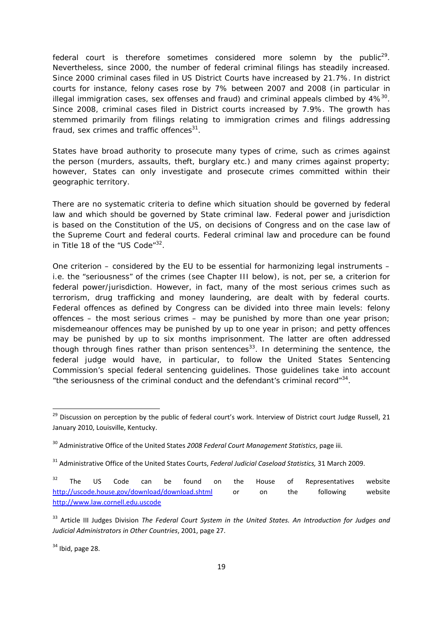federal court is therefore sometimes considered more solemn by the public<sup>29</sup>. Nevertheless, since 2000, the number of federal criminal filings has steadily increased. Since 2000 criminal cases filed in US District Courts have increased by 21.7%. In district courts for instance, felony cases rose by 7% between 2007 and 2008 (in particular in illegal immigration cases, sex offenses and fraud) and criminal appeals climbed by  $4\%^{30}$ . Since 2008, criminal cases filed in District courts increased by 7.9%. The growth has stemmed primarily from filings relating to immigration crimes and filings addressing fraud, sex crimes and traffic offences $31$ .

States have broad authority to prosecute many types of crime, such as crimes against the person (murders, assaults, theft, burglary etc.) and many crimes against property; however, States can only investigate and prosecute crimes committed within their geographic territory.

There are no systematic criteria to define which situation should be governed by federal law and which should be governed by State criminal law. Federal power and jurisdiction is based on the Constitution of the US, on decisions of Congress and on the case law of the Supreme Court and federal courts. Federal criminal law and procedure can be found in Title 18 of the "US Code"<sup>32</sup>.

One criterion – considered by the EU to be essential for harmonizing legal instruments – i.e. the "seriousness" of the crimes (see Chapter III below), is not, *per se*, a criterion for federal power/jurisdiction. However, in fact, many of the most serious crimes such as terrorism, drug trafficking and money laundering, are dealt with by federal courts. Federal offences as defined by Congress can be divided into three main levels: felony offences – the most serious crimes – may be punished by more than one year prison; misdemeanour offences may be punished by up to one year in prison; and petty offences may be punished by up to six months imprisonment. The latter are often addressed though through fines rather than prison sentences<sup>33</sup>. In determining the sentence, the federal judge would have, in particular, to follow the United States Sentencing Commission's special federal sentencing guidelines. Those guidelines take into account "the seriousness of the criminal conduct and the defendant's criminal record" $34$ .

 $34$  Ibid, page 28.

<sup>&</sup>lt;sup>29</sup> Discussion on perception by the public of federal court's work. Interview of District court Judge Russell, 21 January 2010, Louisville, Kentucky.

<sup>30</sup> Administrative Office of the United States *2008 Federal Court Management Statistics*, page iii.

<sup>31</sup> Administrative Office of the United States Courts, *Federal Judicial Caseload Statistics,* 31 March 2009.

 $32$  The US Code can be found on the House of Representatives website http://uscode.house.gov/download/download.shtml or on the following website http://www.law.cornell.edu.uscode

<sup>33</sup> Article III Judges Division *The Federal Court System in the United States. An Introduction for Judges and Judicial Administrators in Other Countries*, 2001, page 27.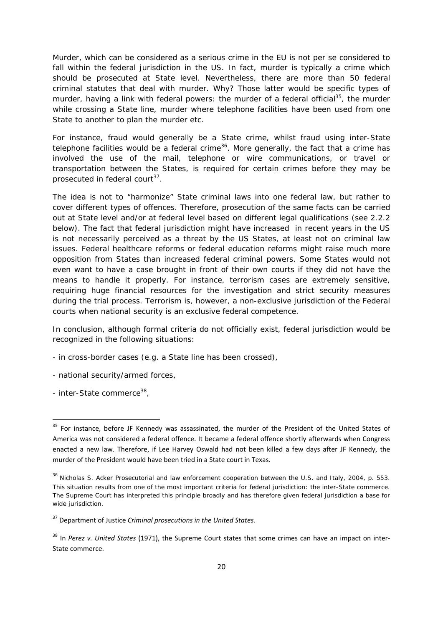Murder, which can be considered as a serious crime in the EU is not *per se* considered to fall within the federal jurisdiction in the US. In fact, murder is typically a crime which should be prosecuted at State level. Nevertheless, there are more than 50 federal criminal statutes that deal with murder. Why? Those latter would be specific types of murder, having a link with federal powers: the murder of a federal official<sup>35</sup>, the murder while crossing a State line, murder where telephone facilities have been used from one State to another to plan the murder etc.

For instance, fraud would generally be a State crime, whilst fraud using inter-State telephone facilities would be a federal crime<sup>36</sup>. More generally, the fact that a crime has involved the use of the mail, telephone or wire communications, or travel or transportation between the States, is required for certain crimes before they may be prosecuted in federal court<sup>37</sup>.

The idea is not to "harmonize" State criminal laws into one federal law, but rather to cover different types of offences. Therefore, prosecution of the same facts can be carried out at State level and/or at federal level based on different legal qualifications (see 2.2.2 below). The fact that federal jurisdiction might have increased in recent years in the US is not necessarily perceived as a threat by the US States, at least not on criminal law issues. Federal healthcare reforms or federal education reforms might raise much more opposition from States than increased federal criminal powers. Some States would not even want to have a case brought in front of their own courts if they did not have the means to handle it properly. For instance, terrorism cases are extremely sensitive, requiring huge financial resources for the investigation and strict security measures during the trial process. Terrorism is, however, a non-exclusive jurisdiction of the Federal courts when national security is an exclusive federal competence.

In conclusion, although formal criteria do not officially exist, federal jurisdiction would be recognized in the following situations:

- in cross-border cases (e.g. a State line has been crossed),
- national security/armed forces,
- inter-State commerce<sup>38</sup>,

<sup>&</sup>lt;sup>35</sup> For instance, before JF Kennedy was assassinated, the murder of the President of the United States of America was not considered a federal offence. It became a federal offence shortly afterwards when Congress enacted a new law. Therefore, if Lee Harvey Oswald had not been killed a few days after JF Kennedy, the murder of the President would have been tried in a State court in Texas.

<sup>36</sup> Nicholas S. Acker *Prosecutorial and law enforcement cooperation between the U.S. and Italy*, 2004, p. 553. This situation results from one of the most important criteria for federal jurisdiction: the *inter-State commerce*. The Supreme Court has interpreted this principle broadly and has therefore given federal jurisdiction a base for wide jurisdiction.

<sup>37</sup> Department of Justice *Criminal prosecutions in the United States.*

<sup>38</sup> In *Perez v. United States* (1971), the Supreme Court states that some crimes can have an impact on inter‐ State commerce.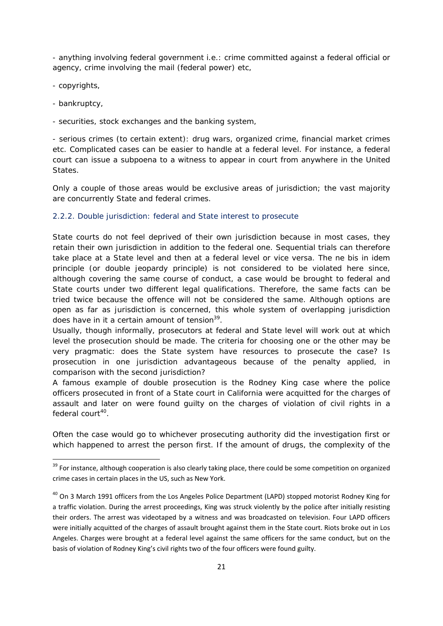- anything involving federal government i.e.: crime committed against a federal official or agency, crime involving the mail (federal power) etc,

- copyrights,

- bankruptcy,

- securities, stock exchanges and the banking system,

- *serious crimes* (to certain extent): drug wars, organized crime, financial market crimes etc. Complicated cases can be easier to handle at a federal level. For instance, a federal court can issue a subpoena to a witness to appear in court from anywhere in the United States.

Only a couple of those areas would be exclusive areas of jurisdiction; the vast majority are concurrently State and federal crimes.

#### 2.2.2. Double jurisdiction: federal and State interest to prosecute

State courts do not feel deprived of their own jurisdiction because in most cases, they retain their own jurisdiction in addition to the federal one. Sequential trials can therefore take place at a State level and then at a federal level or vice versa. The *ne bis in idem* principle (or double jeopardy principle) is not considered to be violated here since, although covering the same course of conduct, a case would be brought to federal and State courts under two different legal qualifications. Therefore, the same facts can be tried twice because the offence will not be considered the same. Although options are open as far as jurisdiction is concerned, this whole system of overlapping jurisdiction does have in it a certain amount of tension $3^9$ .

Usually, though *informally*, prosecutors at federal and State level will work out at which level the prosecution should be made. The criteria for choosing one or the other may be very pragmatic: does the State system have resources to prosecute the case? Is prosecution in one jurisdiction advantageous because of the penalty applied, in comparison with the second jurisdiction?

A famous example of double prosecution is the *Rodney King* case where the police officers prosecuted in front of a State court in California were acquitted for the charges of assault and later on were found guilty on the charges of violation of civil rights in a federal court<sup>40</sup>.

Often the case would go to whichever prosecuting authority did the investigation first or which happened to arrest the person first. If the amount of drugs, the complexity of the

<sup>&</sup>lt;sup>39</sup> For instance, although cooperation is also clearly taking place, there could be some competition on organized crime cases in certain places in the US, such as New York.

<sup>&</sup>lt;sup>40</sup> On 3 March 1991 officers from the Los Angeles Police Department (LAPD) stopped motorist Rodney King for a traffic violation. During the arrest proceedings, King was struck violently by the police after initially resisting their orders. The arrest was videotaped by a witness and was broadcasted on television. Four LAPD officers were initially acquitted of the charges of assault brought against them in the State court. Riots broke out in Los Angeles. Charges were brought at a federal level against the same officers for the same conduct, but on the basis of violation of Rodney King's civil rights two of the four officers were found guilty.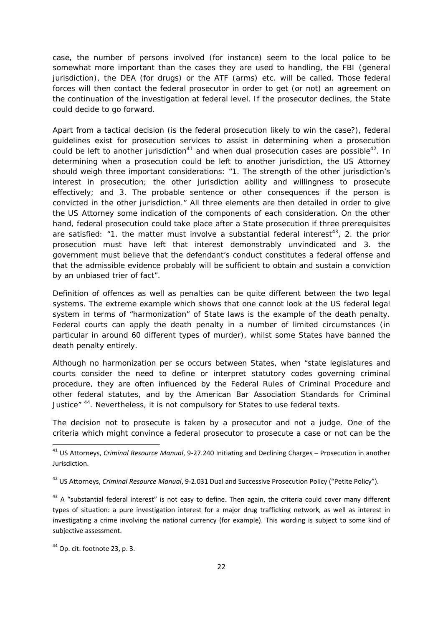case, the number of persons involved (for instance) seem to the local police to be somewhat more important than the cases they are used to handling, the FBI (general jurisdiction), the DEA (for drugs) or the ATF (arms) etc. will be called. Those federal forces will then contact the federal prosecutor in order to get (or not) an agreement on the continuation of the investigation at federal level. If the prosecutor declines, the State could decide to go forward.

Apart from a tactical decision (is the federal prosecution likely to win the case?), federal guidelines exist for prosecution services to assist in determining when a prosecution could be left to another jurisdiction<sup>41</sup> and when dual prosecution cases are possible<sup>42</sup>. In determining when a prosecution could be left to another jurisdiction, the US Attorney should weigh three important considerations: "1. The strength of the other jurisdiction's interest in prosecution; the other jurisdiction ability and willingness to prosecute effectively; and 3. The probable sentence or other consequences if the person is convicted in the other jurisdiction." All three elements are then detailed in order to give the US Attorney some indication of the components of each consideration. On the other hand, federal prosecution could take place after a State prosecution if three prerequisites are satisfied: "1. the matter must involve a substantial federal interest<sup>43</sup>, 2. the prior prosecution must have left that interest demonstrably unvindicated and 3. the government must believe that the defendant's conduct constitutes a federal offense and that the admissible evidence probably will be sufficient to obtain and sustain a conviction by an unbiased trier of fact".

Definition of offences as well as penalties can be quite different between the two legal systems. The extreme example which shows that one cannot look at the US federal legal system in terms of "harmonization" of State laws is the example of the death penalty. Federal courts can apply the death penalty in a number of limited circumstances (in particular in around 60 different types of murder), whilst some States have banned the death penalty entirely.

Although no harmonization *per se* occurs between States, when "state legislatures and courts consider the need to define or interpret statutory codes governing criminal procedure, they are often influenced by the Federal Rules of Criminal Procedure and other federal statutes, and by the American Bar Association Standards for Criminal Justice" <sup>44</sup>. Nevertheless, it is not compulsory for States to use federal texts.

The decision not to prosecute is taken by a prosecutor and not a judge. One of the criteria which might convince a federal prosecutor to prosecute a case or not can be the

<sup>41</sup> US Attorneys, *Criminal Resource Manual*, 9‐27.240 Initiating and Declining Charges – Prosecution in another Jurisdiction.

<sup>42</sup> US Attorneys, *Criminal Resource Manual*, 9‐2.031 Dual and Successive Prosecution Policy ("Petite Policy").

 $43$  A "substantial federal interest" is not easy to define. Then again, the criteria could cover many different types of situation: a pure investigation interest for a major drug trafficking network, as well as interest in investigating a crime involving the national currency (for example). This wording is subject to some kind of subjective assessment.

 $44$  Op. cit. footnote 23, p. 3.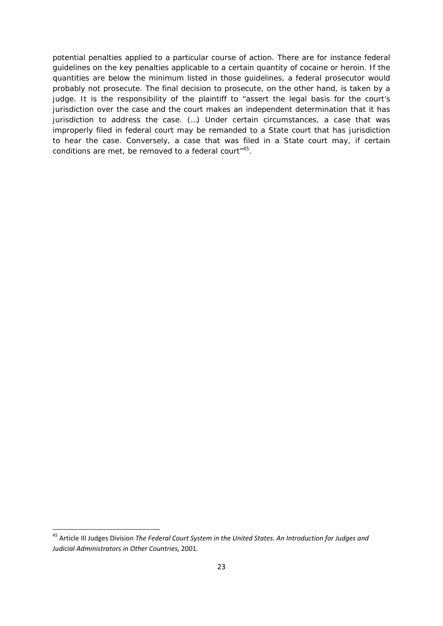potential penalties applied to a particular course of action. There are for instance federal guidelines on the key penalties applicable to a certain quantity of cocaine or heroin. If the quantities are below the minimum listed in those guidelines, a federal prosecutor would probably not prosecute. The final decision to prosecute, on the other hand, is taken by a judge. It is the responsibility of the plaintiff to "assert the legal basis for the court's jurisdiction over the case and the court makes an independent determination that it has jurisdiction to address the case. (…) Under certain circumstances, a case that was improperly filed in federal court may be *remanded* to a State court that has jurisdiction to hear the case. Conversely, a case that was filed in a State court may, if certain conditions are met, be *removed* to a federal court<sup>"45</sup>.

<sup>45</sup> Article III Judges Division *The Federal Court System in the United States. An Introduction for Judges and Judicial Administrators in Other Countries,* 2001.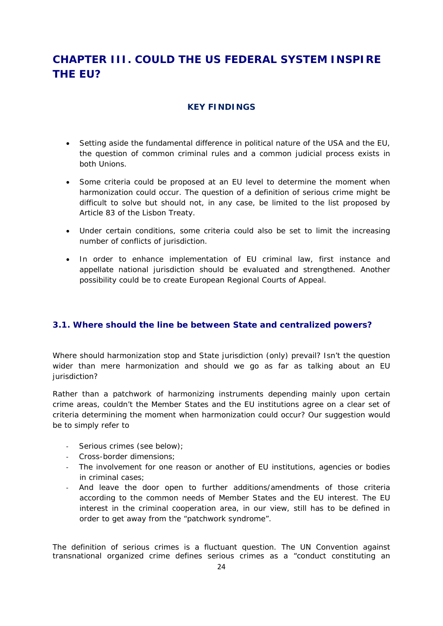# **CHAPTER III. COULD THE US FEDERAL SYSTEM INSPIRE THE EU?**

#### **KEY FINDINGS**

- Setting aside the fundamental difference in political nature of the USA and the EU, the question of common criminal rules and a common judicial process exists in both Unions.
- Some criteria could be proposed at an EU level to determine the moment when harmonization could occur. The question of a definition of *serious crime* might be difficult to solve but should not, in any case, be limited to the list proposed by Article 83 of the Lisbon Treaty.
- Under certain conditions, some criteria could also be set to limit the increasing number of conflicts of jurisdiction.
- In order to enhance implementation of EU criminal law, first instance and appellate national jurisdiction should be evaluated and strengthened. Another possibility could be to create European Regional Courts of Appeal.

#### **3.1. Where should the line be between State and centralized powers?**

Where should harmonization stop and State jurisdiction (only) prevail? Isn't the question wider than mere harmonization and should we go as far as talking about an EU jurisdiction?

Rather than a patchwork of harmonizing instruments depending mainly upon certain crime areas, couldn't the Member States and the EU institutions agree on a clear set of criteria determining the moment when harmonization could occur? Our suggestion would be to simply refer to

- ‐ S*erious crimes (see below)*;
- ‐ Cross-border dimensions;
- ‐ The involvement for one reason or another of EU institutions, agencies or bodies in criminal cases;
- And leave the door open to further additions/amendments of those criteria according to the common needs of Member States and the EU interest. The EU interest in the criminal cooperation area, in our view, still has to be defined in order to get away from the "patchwork syndrome".

The definition of serious crimes is a fluctuant question. The UN Convention against transnational organized crime defines serious crimes as a "conduct constituting an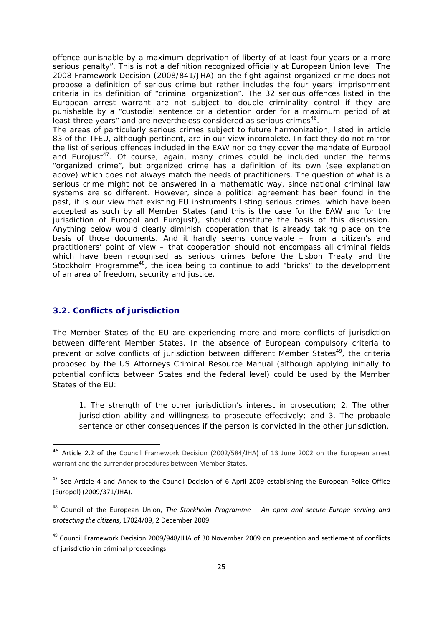offence punishable by a maximum deprivation of liberty of at least four years or a more serious penalty". This is not a definition recognized officially at European Union level. The 2008 Framework Decision (2008/841/JHA) on the fight against organized crime does not propose a definition of *serious crime* but rather includes the four years' imprisonment criteria in its definition of "criminal organization". The 32 serious offences listed in the European arrest warrant are not subject to double criminality control if they are punishable by a "custodial sentence or a detention order for a maximum period of at least three years" and are nevertheless considered as *serious crimes*<sup>46</sup>.

The areas of *particularly serious crimes* subject to future harmonization, listed in article 83 of the TFEU, although pertinent, are in our view incomplete. In fact they do not mirror the list of serious offences included in the EAW nor do they cover the mandate of Europol and Eurojust<sup>47</sup>. Of course, again, many crimes could be included under the terms "organized crime", but organized crime has a definition of its own (see explanation above) which does not always match the needs of practitioners. The question of what is a serious crime might not be answered in a mathematic way, since national criminal law systems are so different. However, since a political agreement has been found in the past, it is our view that existing EU instruments listing serious crimes, which have been accepted as such by all Member States (and this is the case for the EAW and for the jurisdiction of Europol and Eurojust), should constitute the basis of this discussion. Anything below would clearly diminish cooperation that is already taking place on the basis of those documents. And it hardly seems conceivable – from a citizen's and practitioners' point of view – that cooperation should not encompass all criminal fields which have been recognised as *serious crimes* before the Lisbon Treaty and the Stockholm Programme $48$ , the idea being to continue to add "bricks" to the development of an area of freedom, security and justice.

#### **3.2. Conflicts of jurisdiction**

The Member States of the EU are experiencing more and more conflicts of jurisdiction between different Member States. In the absence of European compulsory criteria to prevent or solve conflicts of jurisdiction between different Member States<sup>49</sup>, the criteria proposed by the US Attorneys Criminal Resource Manual (although applying initially to potential conflicts between States and the federal level) could be used by the Member States of the EU:

*1. The strength of the other jurisdiction's interest in prosecution; 2. The other jurisdiction ability and willingness to prosecute effectively; and 3. The probable sentence or other consequences if the person is convicted in the other jurisdiction.* 

<sup>46</sup> Article 2.2 of the Council Framework Decision (2002/584/JHA) of 13 June 2002 on the European arrest warrant and the surrender procedures between Member States.

<sup>&</sup>lt;sup>47</sup> See Article 4 and Annex to the Council Decision of 6 April 2009 establishing the European Police Office (Europol) (2009/371/JHA).

<sup>48</sup> Council of the European Union, *The Stockholm Programme – An open and secure Europe serving and protecting the citizens*, 17024/09, 2 December 2009.

<sup>&</sup>lt;sup>49</sup> Council Framework Decision 2009/948/JHA of 30 November 2009 on prevention and settlement of conflicts of jurisdiction in criminal proceedings.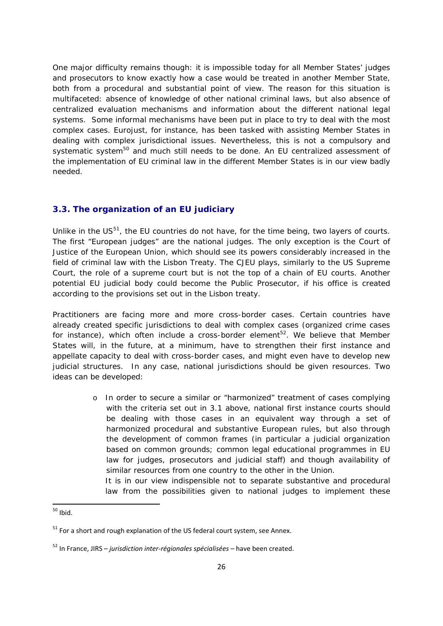One major difficulty remains though: it is impossible today for all Member States' judges and prosecutors to know exactly how a case would be treated in another Member State, both from a procedural and substantial point of view. The reason for this situation is multifaceted: absence of knowledge of other national criminal laws, but also absence of centralized evaluation mechanisms and information about the different national legal systems. Some informal mechanisms have been put in place to try to deal with the most complex cases. Eurojust, for instance, has been tasked with assisting Member States in dealing with complex jurisdictional issues. Nevertheless, this is not a compulsory and systematic system<sup>50</sup> and much still needs to be done. An EU centralized assessment of the implementation of EU criminal law in the different Member States is in our view badly needed.

#### **3.3. The organization of an EU judiciary**

Unlike in the  $US<sup>51</sup>$ , the EU countries do not have, for the time being, two layers of courts. The first "European judges" are the national judges. The only exception is the Court of Justice of the European Union, which should see its powers considerably increased in the field of criminal law with the Lisbon Treaty. The CJEU plays, similarly to the US Supreme Court, the role of a supreme court but is not the top of a chain of EU courts. Another potential EU judicial body could become the Public Prosecutor, if his office is created according to the provisions set out in the Lisbon treaty.

Practitioners are facing more and more cross-border cases. Certain countries have already created specific jurisdictions to deal with complex cases (organized crime cases for instance), which often include a cross-border element<sup>52</sup>. We believe that Member States will, in the future, at a minimum, have to strengthen their first instance and appellate capacity to deal with cross-border cases, and might even have to develop new judicial structures. In any case, national jurisdictions should be given resources. Two ideas can be developed:

> o In order to secure a similar or "harmonized" treatment of cases complying with the criteria set out in 3.1 above, national first instance courts should be dealing with those cases in an equivalent way through a set of harmonized procedural and substantive European rules, but also through the development of common frames (in particular a judicial organization based on common grounds; common legal educational programmes in EU law for judges, prosecutors and judicial staff) and though availability of similar resources from one country to the other in the Union.

It is in our view indispensible not to separate substantive and procedural law from the possibilities given to national judges to implement these

 $50$  Ibid.

 $51$  For a short and rough explanation of the US federal court system, see Annex.

<sup>52</sup> In France, JIRS – *jurisdiction inter‐régionales spécialisées* – have been created.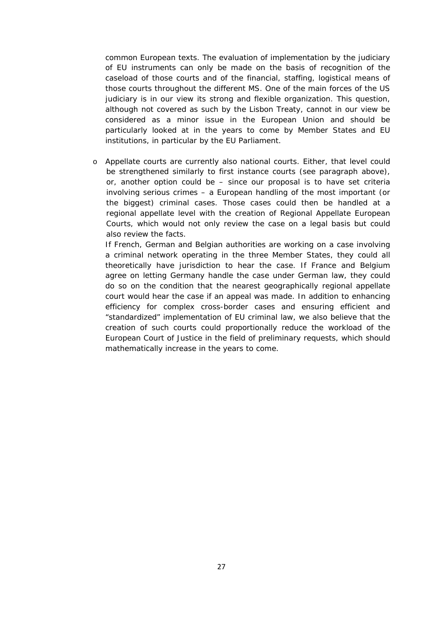common European texts. The evaluation of implementation by the judiciary of EU instruments can only be made on the basis of recognition of the caseload of those courts and of the financial, staffing, logistical means of those courts throughout the different MS. One of the main forces of the US judiciary is in our view its strong and flexible organization. This question, although not covered as such by the Lisbon Treaty, cannot in our view be considered as a minor issue in the European Union and should be particularly looked at in the years to come by Member States and EU institutions, in particular by the EU Parliament.

o Appellate courts are currently also national courts. Either, that level could be strengthened similarly to first instance courts (see paragraph above), or, another option could be – since our proposal is to have set criteria involving *serious crimes* – a European handling of the most important (or the biggest) criminal cases. Those cases could then be handled at a regional appellate level with the creation of Regional Appellate European Courts, which would not only review the case on a legal basis but could also review the facts.

If French, German and Belgian authorities are working on a case involving a criminal network operating in the three Member States, they could all theoretically have jurisdiction to hear the case. If France and Belgium agree on letting Germany handle the case under German law, they could do so on the condition that the nearest geographically regional appellate court would hear the case if an appeal was made. In addition to enhancing efficiency for complex cross-border cases and ensuring efficient and "standardized" implementation of EU criminal law, we also believe that the creation of such courts could proportionally reduce the workload of the European Court of Justice in the field of preliminary requests, which should mathematically increase in the years to come.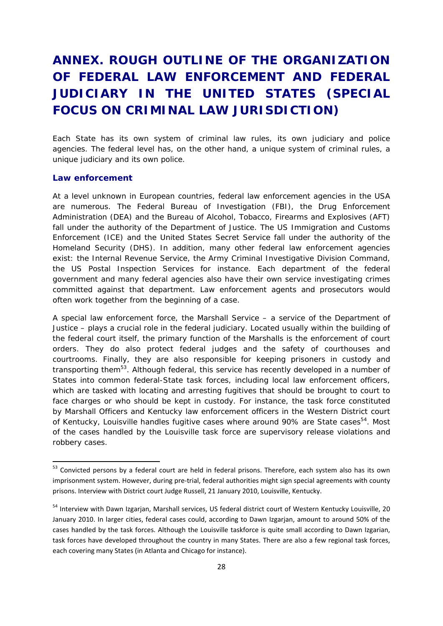# **ANNEX. ROUGH OUTLINE OF THE ORGANIZATION OF FEDERAL LAW ENFORCEMENT AND FEDERAL JUDICIARY IN THE UNITED STATES (SPECIAL FOCUS ON CRIMINAL LAW JURISDICTION)**

Each State has its own system of criminal law rules, its own judiciary and police agencies. The federal level has, on the other hand, a unique system of criminal rules, a unique judiciary and its own police.

#### **Law enforcement**

At a level unknown in European countries, federal law enforcement agencies in the USA are numerous. The Federal Bureau of Investigation (FBI), the Drug Enforcement Administration (DEA) and the Bureau of Alcohol, Tobacco, Firearms and Explosives (AFT) fall under the authority of the Department of Justice. The US Immigration and Customs Enforcement (ICE) and the United States Secret Service fall under the authority of the Homeland Security (DHS). In addition, many other federal law enforcement agencies exist: the Internal Revenue Service, the Army Criminal Investigative Division Command, the US Postal Inspection Services for instance. Each department of the federal government and many federal agencies also have their own service investigating crimes committed against that department. Law enforcement agents and prosecutors would often work together from the beginning of a case.

A special law enforcement force, the Marshall Service – a service of the Department of Justice – plays a crucial role in the federal judiciary. Located usually within the building of the federal court itself, the primary function of the Marshalls is the enforcement of court orders. They do also protect federal judges and the safety of courthouses and courtrooms. Finally, they are also responsible for keeping prisoners in custody and transporting them<sup>53</sup>. Although federal, this service has recently developed in a number of States into common federal-State task forces, including local law enforcement officers, which are tasked with locating and arresting fugitives that should be brought to court to face charges or who should be kept in custody. For instance, the task force constituted by Marshall Officers and Kentucky law enforcement officers in the Western District court of Kentucky, Louisville handles fugitive cases where around 90% are State cases<sup>54</sup>. Most of the cases handled by the Louisville task force are supervisory release violations and robbery cases.

<sup>&</sup>lt;sup>53</sup> Convicted persons by a federal court are held in federal prisons. Therefore, each system also has its own imprisonment system. However, during pre-trial, federal authorities might sign special agreements with county prisons. Interview with District court Judge Russell, 21 January 2010, Louisville, Kentucky.

<sup>&</sup>lt;sup>54</sup> Interview with Dawn Izgarian, Marshall services, US federal district court of Western Kentucky Louisville, 20 January 2010. In larger cities, federal cases could, according to Dawn Izgarjan, amount to around 50% of the cases handled by the task forces. Although the Louisville taskforce is quite small according to Dawn Izgarian, task forces have developed throughout the country in many States. There are also a few regional task forces, each covering many States (in Atlanta and Chicago for instance).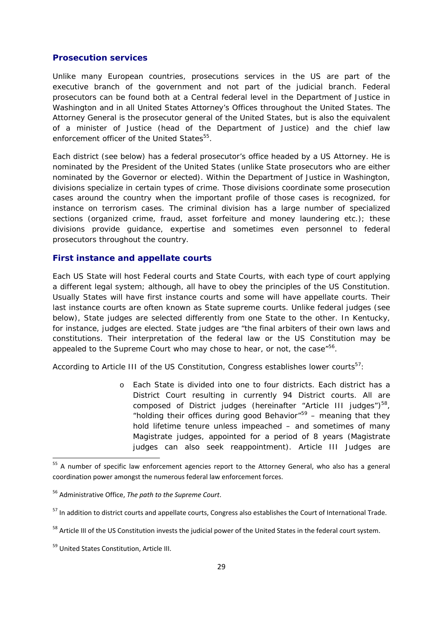#### **Prosecution services**

Unlike many European countries, prosecutions services in the US are part of the executive branch of the government and not part of the judicial branch. Federal prosecutors can be found both at a Central federal level in the Department of Justice in Washington and in all United States Attorney's Offices throughout the United States. The Attorney General is the prosecutor general of the United States, but is also the equivalent of a minister of Justice (head of the Department of Justice) and the chief law enforcement officer of the United States<sup>55</sup>.

Each district (see below) has a federal prosecutor's office headed by a US Attorney. He is nominated by the President of the United States (unlike State prosecutors who are either nominated by the Governor or elected). Within the Department of Justice in Washington, divisions specialize in certain types of crime. Those divisions coordinate some prosecution cases around the country when the important profile of those cases is recognized, for instance on terrorism cases. The criminal division has a large number of specialized sections (organized crime, fraud, asset forfeiture and money laundering etc.); these divisions provide guidance, expertise and sometimes even personnel to federal prosecutors throughout the country.

#### **First instance and appellate courts**

Each US State will host Federal courts and State Courts, with each type of court applying a different legal system; although, all have to obey the principles of the US Constitution. Usually States will have first instance courts and some will have appellate courts. Their last instance courts are often known as State supreme courts. Unlike federal judges (see below), State judges are selected differently from one State to the other. In Kentucky, for instance, judges are elected. State judges are "the final arbiters of their own laws and constitutions. Their interpretation of the federal law or the US Constitution may be appealed to the Supreme Court who may chose to hear, or not, the case<sup>"56</sup>.

According to Article III of the US Constitution, Congress establishes lower courts<sup>57</sup>:

o Each State is divided into one to four districts. Each district has a District Court resulting in currently 94 District courts. All are composed of District judges (hereinafter "Article III judges") $58$ , "holding their offices during good Behavior" $59$  – meaning that they hold lifetime tenure unless impeached – and sometimes of many Magistrate judges, appointed for a period of 8 years (Magistrate judges can also seek reappointment). Article III Judges are

<sup>&</sup>lt;sup>55</sup> A number of specific law enforcement agencies report to the Attorney General, who also has a general coordination power amongst the numerous federal law enforcement forces.

<sup>56</sup> Administrative Office, *The path to the Supreme Court*.

<sup>&</sup>lt;sup>57</sup> In addition to district courts and appellate courts, Congress also establishes the Court of International Trade.

<sup>&</sup>lt;sup>58</sup> Article III of the US Constitution invests the judicial power of the United States in the federal court system.

<sup>59</sup> United States Constitution, Article III.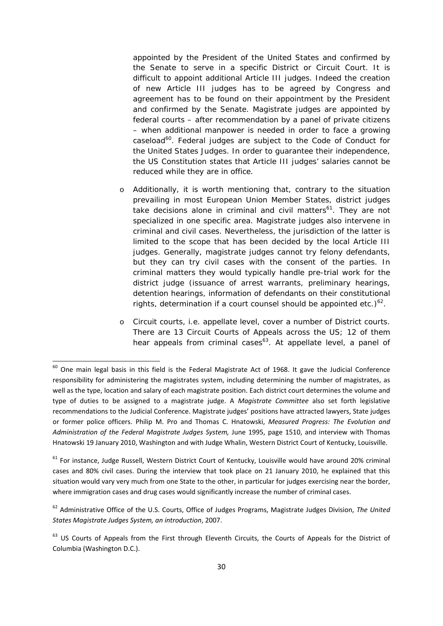appointed by the President of the United States and confirmed by the Senate to serve in a specific District or Circuit Court. It is difficult to appoint additional Article III judges. Indeed the creation of new Article III judges has to be agreed by Congress and agreement has to be found on their appointment by the President and confirmed by the Senate. Magistrate judges are appointed by federal courts – after recommendation by a panel of private citizens – when additional manpower is needed in order to face a growing caseload<sup>60</sup>. Federal judges are subject to the Code of Conduct for the United States Judges. In order to guarantee their independence, the US Constitution states that Article III judges' salaries cannot be reduced while they are in office.

- o Additionally, it is worth mentioning that, contrary to the situation prevailing in most European Union Member States, district judges take decisions alone in criminal *and* civil matters<sup>61</sup>. They are not specialized in one specific area. Magistrate judges also intervene in criminal and civil cases. Nevertheless, the jurisdiction of the latter is limited to the scope that has been decided by the local Article III judges. Generally, magistrate judges cannot try felony defendants, but they can try civil cases with the consent of the parties. In criminal matters they would typically handle pre-trial work for the district judge (issuance of arrest warrants, preliminary hearings, detention hearings, information of defendants on their constitutional rights, determination if a court counsel should be appointed etc.) $62$ .
- o Circuit courts, i.e. appellate level, cover a number of District courts. There are 13 Circuit Courts of Appeals across the US; 12 of them hear appeals from criminal cases<sup>63</sup>. At appellate level, a panel of

 $60$  One main legal basis in this field is the Federal Magistrate Act of 1968. It gave the Judicial Conference responsibility for administering the magistrates system, including determining the number of magistrates, as well as the type, location and salary of each magistrate position. Each district court determines the volume and type of duties to be assigned to a magistrate judge. A *Magistrate Committee* also set forth legislative recommendations to the Judicial Conference. Magistrate judges' positions have attracted lawyers, State judges or former police officers. Philip M. Pro and Thomas C. Hnatowski, *Measured Progress: The Evolution and Administration of the Federal Magistrate Judges System,* June 1995, page 1510, and interview with Thomas Hnatowski 19 January 2010, Washington and with Judge Whalin, Western District Court of Kentucky, Louisville.

<sup>&</sup>lt;sup>61</sup> For instance, Judge Russell, Western District Court of Kentucky, Louisville would have around 20% criminal cases and 80% civil cases. During the interview that took place on 21 January 2010, he explained that this situation would vary very much from one State to the other, in particular for judges exercising near the border, where immigration cases and drug cases would significantly increase the number of criminal cases.

<sup>62</sup> Administrative Office of the U.S. Courts, Office of Judges Programs, Magistrate Judges Division, *The United States Magistrate Judges System, an introduction*, 2007.

<sup>&</sup>lt;sup>63</sup> US Courts of Appeals from the First through Eleventh Circuits, the Courts of Appeals for the District of Columbia (Washington D.C.).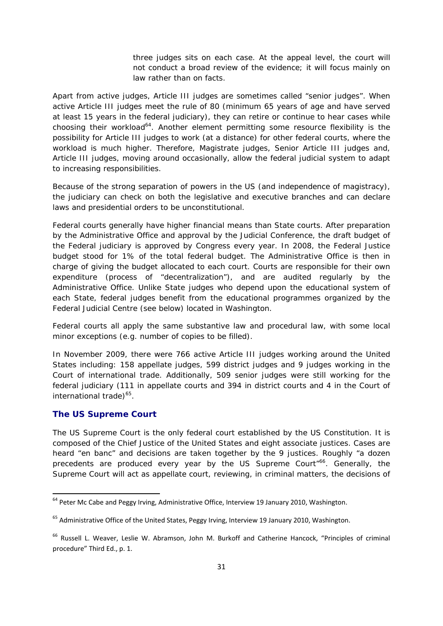three judges sits on each case. At the appeal level, the court will not conduct a broad review of the evidence; it will focus mainly on law rather than on facts.

Apart from active judges, Article III judges are sometimes called "senior judges". When active Article III judges meet the rule of 80 (minimum 65 years of age and have served at least 15 years in the federal judiciary), they can retire or continue to hear cases while choosing their workload<sup>64</sup>. Another element permitting some resource flexibility is the possibility for Article III judges to work (at a distance) for other federal courts, where the workload is much higher. Therefore, Magistrate judges, Senior Article III judges and, Article III judges, moving around occasionally, allow the federal judicial system to adapt to increasing responsibilities.

Because of the strong separation of powers in the US (and independence of magistracy), the judiciary can check on both the legislative and executive branches and can declare laws and presidential orders to be unconstitutional.

Federal courts generally have higher financial means than State courts. After preparation by the Administrative Office and approval by the Judicial Conference, the draft budget of the Federal judiciary is approved by Congress every year. In 2008, the Federal Justice budget stood for 1% of the total federal budget. The Administrative Office is then in charge of giving the budget allocated to each court. Courts are responsible for their own expenditure (process of "decentralization"), and are audited regularly by the Administrative Office. Unlike State judges who depend upon the educational system of each State, federal judges benefit from the educational programmes organized by the Federal Judicial Centre (see below) located in Washington.

Federal courts all apply the same substantive law and procedural law, with some local minor exceptions (e.g. number of copies to be filled).

In November 2009, there were 766 active Article III judges working around the United States including: 158 appellate judges, 599 district judges and 9 judges working in the Court of international trade. Additionally, 509 senior judges were still working for the federal judiciary (111 in appellate courts and 394 in district courts and 4 in the Court of international trade) $65$ .

#### **The US Supreme Court**

The US Supreme Court is the only federal court established by the US Constitution. It is composed of the Chief Justice of the United States and eight associate justices. Cases are heard "en banc" and decisions are taken together by the 9 justices. Roughly "a dozen precedents are produced every year by the US Supreme Court<sup>"66</sup>. Generally, the Supreme Court will act as appellate court, reviewing, in criminal matters, the decisions of

 $<sup>64</sup>$  Peter Mc Cabe and Peggy Irving, Administrative Office, Interview 19 January 2010, Washington.</sup>

<sup>65</sup> Administrative Office of the United States, Peggy Irving, Interview 19 January 2010, Washington.

<sup>&</sup>lt;sup>66</sup> Russell L. Weaver, Leslie W. Abramson, John M. Burkoff and Catherine Hancock, "Principles of criminal procedure" Third Ed., p. 1.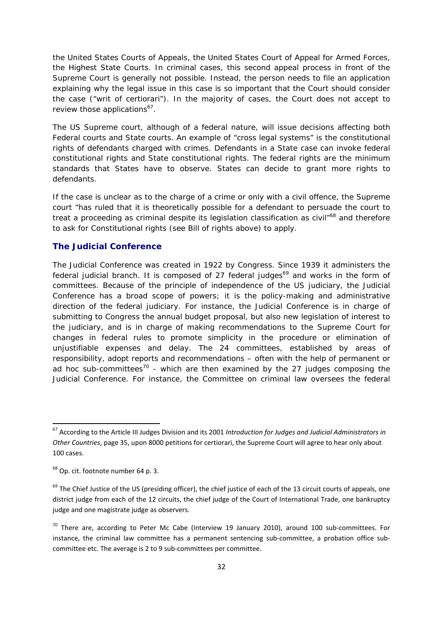the United States Courts of Appeals, the United States Court of Appeal for Armed Forces, the Highest State Courts. In criminal cases, this second appeal process in front of the Supreme Court is generally not possible. Instead, the person needs to file an application explaining why the legal issue in this case is so important that the Court should consider the case ("writ of certiorari"). In the majority of cases, the Court does not accept to review those applications<sup>67</sup>.

The US Supreme court, although of a federal nature, will issue decisions affecting both Federal courts and State courts. An example of "cross legal systems" is the constitutional rights of defendants charged with crimes. Defendants in a State case can invoke federal constitutional rights and State constitutional rights. The federal rights are the minimum standards that States have to observe. States can decide to grant more rights to defendants.

If the case is unclear as to the charge of a crime or only with a civil offence, the Supreme court "has ruled that it is theoretically possible for a defendant to persuade the court to treat a proceeding as criminal despite its legislation classification as civil<sup>"68</sup> and therefore to ask for Constitutional rights (see Bill of rights above) to apply.

#### **The Judicial Conference**

The Judicial Conference was created in 1922 by Congress. Since 1939 it administers the federal judicial branch. It is composed of 27 federal judges<sup>69</sup> and works in the form of committees. Because of the principle of independence of the US judiciary, the Judicial Conference has a broad scope of powers; it is the policy-making and administrative direction of the federal judiciary. For instance, the Judicial Conference is in charge of submitting to Congress the annual budget proposal, but also new legislation of interest to the judiciary, and is in charge of making recommendations to the Supreme Court for changes in federal rules to promote simplicity in the procedure or elimination of unjustifiable expenses and delay. The 24 committees, established by areas of responsibility, adopt reports and recommendations – often with the help of permanent or ad hoc sub-committees<sup>70</sup> - which are then examined by the 27 judges composing the Judicial Conference. For instance, the Committee on criminal law oversees the federal

<sup>67</sup> According to the Article III Judges Division and its 2001 *Introduction for Judges and Judicial Administrators in Other Countries*, page 35, upon 8000 petitions for certiorari, the Supreme Court will agree to hear only about 100 cases.

<sup>68</sup> Op. cit. footnote number 64 p. 3.

 $69$  The Chief Justice of the US (presiding officer), the chief justice of each of the 13 circuit courts of appeals, one district judge from each of the 12 circuits, the chief judge of the Court of International Trade, one bankruptcy judge and one magistrate judge as observers.

 $70$  There are, according to Peter Mc Cabe (Interview 19 January 2010), around 100 sub-committees. For instance, the criminal law committee has a permanent sentencing sub-committee, a probation office subcommittee etc. The average is 2 to 9 sub‐committees per committee.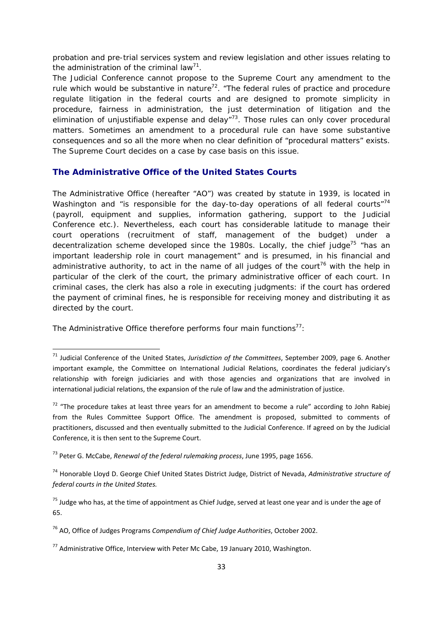probation and pre-trial services system and review legislation and other issues relating to the administration of the criminal law<sup>71</sup>.

The Judicial Conference cannot propose to the Supreme Court any amendment to the rule which would be substantive in nature<sup>72</sup>. "The federal rules of practice and procedure regulate litigation in the federal courts and are designed to promote simplicity in procedure, fairness in administration, the just determination of litigation and the elimination of unjustifiable expense and delay $n^{73}$ . Those rules can only cover procedural matters. Sometimes an amendment to a procedural rule can have some substantive consequences and so all the more when no clear definition of "procedural matters" exists. The Supreme Court decides on a case by case basis on this issue.

#### **The Administrative Office of the United States Courts**

The Administrative Office (hereafter "AO") was created by statute in 1939, is located in Washington and "is responsible for the day-to-day operations of all federal courts"<sup>74</sup> (payroll, equipment and supplies, information gathering, support to the Judicial Conference etc.). Nevertheless, each court has considerable latitude to manage their court operations (recruitment of staff, management of the budget) under a decentralization scheme developed since the 1980s. Locally, the chief judge<sup>75</sup> "has an important leadership role in court management" and is presumed, in his financial and administrative authority, to act in the name of all judges of the court<sup>76</sup> with the help in particular of the clerk of the court, the primary administrative officer of each court. In criminal cases, the clerk has also a role in executing judgments: if the court has ordered the payment of criminal fines, he is responsible for receiving money and distributing it as directed by the court.

The Administrative Office therefore performs four main functions $77$ :

<sup>71</sup> Judicial Conference of the United States, *Jurisdiction of the Committees*, September 2009, page 6. Another important example, the Committee on International Judicial Relations, coordinates the federal judiciary's relationship with foreign judiciaries and with those agencies and organizations that are involved in international judicial relations, the expansion of the rule of law and the administration of justice.

 $72$  "The procedure takes at least three years for an amendment to become a rule" according to John Rabiei from the Rules Committee Support Office. The amendment is proposed, submitted to comments of practitioners, discussed and then eventually submitted to the Judicial Conference. If agreed on by the Judicial Conference, it is then sent to the Supreme Court.

<sup>73</sup> Peter G. McCabe, *Renewal of the federal rulemaking process*, June 1995, page 1656.

<sup>74</sup> Honorable Lloyd D. George Chief United States District Judge, District of Nevada, *Administrative structure of federal courts in the United States.*

 $75$  Judge who has, at the time of appointment as Chief Judge, served at least one year and is under the age of 65.

<sup>76</sup> AO, Office of Judges Programs *Compendium of Chief Judge Authorities*, October 2002.

 $^{77}$  Administrative Office, Interview with Peter Mc Cabe, 19 January 2010, Washington.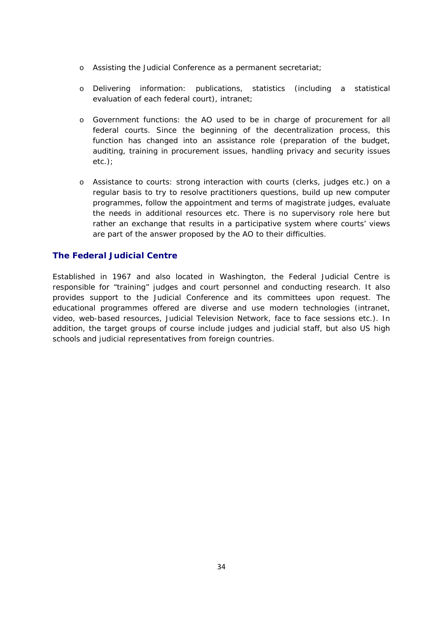- o Assisting the Judicial Conference as a permanent secretariat;
- o Delivering information: publications, statistics (including a statistical evaluation of each federal court), intranet;
- o Government functions: the AO used to be in charge of procurement for all federal courts. Since the beginning of the decentralization process, this function has changed into an assistance role (preparation of the budget, auditing, training in procurement issues, handling privacy and security issues etc.);
- o Assistance to courts: strong interaction with courts (clerks, judges etc.) on a regular basis to try to resolve practitioners questions, build up new computer programmes, follow the appointment and terms of magistrate judges, evaluate the needs in additional resources etc. There is no supervisory role here but rather an exchange that results in a participative system where courts' views are part of the answer proposed by the AO to their difficulties.

#### **The Federal Judicial Centre**

Established in 1967 and also located in Washington, the Federal Judicial Centre is responsible for "training" judges and court personnel and conducting research. It also provides support to the Judicial Conference and its committees upon request. The educational programmes offered are diverse and use modern technologies (intranet, video, web-based resources, Judicial Television Network, face to face sessions etc.). In addition, the target groups of course include judges and judicial staff, but also US high schools and judicial representatives from foreign countries.